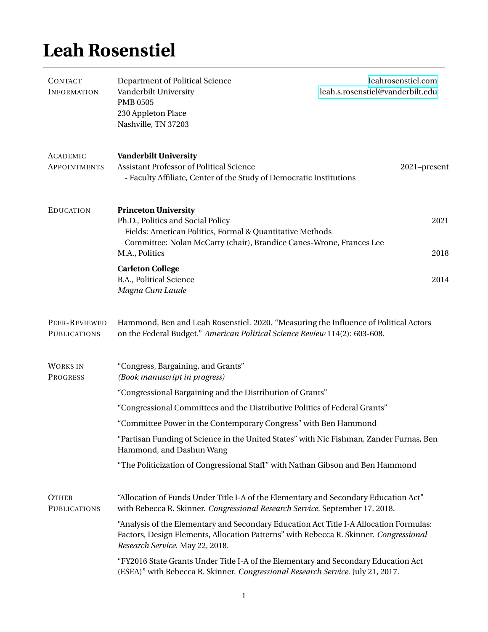## **Leah Rosenstiel**

| <b>CONTACT</b><br><b>INFORMATION</b>   | Department of Political Science<br>Vanderbilt University<br><b>PMB 0505</b><br>230 Appleton Place<br>Nashville, TN 37203                                                                                              | leahrosenstiel.com<br>leah.s.rosenstiel@vanderbilt.edu                             |  |
|----------------------------------------|-----------------------------------------------------------------------------------------------------------------------------------------------------------------------------------------------------------------------|------------------------------------------------------------------------------------|--|
| <b>ACADEMIC</b><br><b>APPOINTMENTS</b> | <b>Vanderbilt University</b><br>Assistant Professor of Political Science<br>- Faculty Affiliate, Center of the Study of Democratic Institutions                                                                       | 2021-present                                                                       |  |
| <b>EDUCATION</b>                       | <b>Princeton University</b><br>Ph.D., Politics and Social Policy<br>Fields: American Politics, Formal & Quantitative Methods<br>Committee: Nolan McCarty (chair), Brandice Canes-Wrone, Frances Lee<br>M.A., Politics | 2021<br>2018                                                                       |  |
|                                        | <b>Carleton College</b><br>B.A., Political Science<br>Magna Cum Laude                                                                                                                                                 | 2014                                                                               |  |
| PEER-REVIEWED<br><b>PUBLICATIONS</b>   | Hammond, Ben and Leah Rosenstiel. 2020. "Measuring the Influence of Political Actors<br>on the Federal Budget." American Political Science Review 114(2): 603-608.                                                    |                                                                                    |  |
| <b>WORKS IN</b><br><b>PROGRESS</b>     | "Congress, Bargaining, and Grants"<br>(Book manuscript in progress)                                                                                                                                                   |                                                                                    |  |
|                                        | "Congressional Bargaining and the Distribution of Grants"                                                                                                                                                             |                                                                                    |  |
|                                        | "Congressional Committees and the Distributive Politics of Federal Grants"                                                                                                                                            |                                                                                    |  |
|                                        | "Committee Power in the Contemporary Congress" with Ben Hammond                                                                                                                                                       |                                                                                    |  |
|                                        | "Partisan Funding of Science in the United States" with Nic Fishman, Zander Furnas, Ben<br>Hammond, and Dashun Wang                                                                                                   |                                                                                    |  |
|                                        | "The Politicization of Congressional Staff" with Nathan Gibson and Ben Hammond                                                                                                                                        |                                                                                    |  |
| <b>OTHER</b><br><b>PUBLICATIONS</b>    | "Allocation of Funds Under Title I-A of the Elementary and Secondary Education Act"<br>with Rebecca R. Skinner. Congressional Research Service. September 17, 2018.                                                   |                                                                                    |  |
|                                        | "Analysis of the Elementary and Secondary Education Act Title I-A Allocation Formulas:<br>Factors, Design Elements, Allocation Patterns" with Rebecca R. Skinner. Congressional<br>Research Service. May 22, 2018.    |                                                                                    |  |
|                                        | (ESEA)" with Rebecca R. Skinner. Congressional Research Service. July 21, 2017.                                                                                                                                       | "FY2016 State Grants Under Title I-A of the Elementary and Secondary Education Act |  |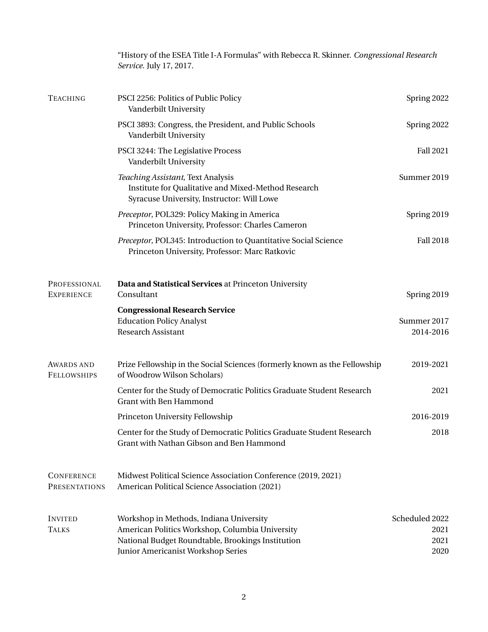|                                         | "History of the ESEA Title I-A Formulas" with Rebecca R. Skinner. <i>Congressional Research</i><br>Service. July 17, 2017.                                                            |                                        |
|-----------------------------------------|---------------------------------------------------------------------------------------------------------------------------------------------------------------------------------------|----------------------------------------|
| <b>TEACHING</b>                         | PSCI 2256: Politics of Public Policy<br>Vanderbilt University                                                                                                                         | Spring 2022                            |
|                                         | PSCI 3893: Congress, the President, and Public Schools<br>Vanderbilt University                                                                                                       | Spring 2022                            |
|                                         | PSCI 3244: The Legislative Process<br>Vanderbilt University                                                                                                                           | <b>Fall 2021</b>                       |
|                                         | Teaching Assistant, Text Analysis<br>Institute for Qualitative and Mixed-Method Research<br>Syracuse University, Instructor: Will Lowe                                                | Summer 2019                            |
|                                         | Preceptor, POL329: Policy Making in America<br>Princeton University, Professor: Charles Cameron                                                                                       | Spring 2019                            |
|                                         | Preceptor, POL345: Introduction to Quantitative Social Science<br>Princeton University, Professor: Marc Ratkovic                                                                      | <b>Fall 2018</b>                       |
| PROFESSIONAL<br><b>EXPERIENCE</b>       | Data and Statistical Services at Princeton University<br>Consultant                                                                                                                   | Spring 2019                            |
|                                         | <b>Congressional Research Service</b><br><b>Education Policy Analyst</b><br><b>Research Assistant</b>                                                                                 | Summer 2017<br>2014-2016               |
| <b>AWARDS AND</b><br><b>FELLOWSHIPS</b> | Prize Fellowship in the Social Sciences (formerly known as the Fellowship<br>of Woodrow Wilson Scholars)                                                                              | 2019-2021                              |
|                                         | Center for the Study of Democratic Politics Graduate Student Research<br><b>Grant with Ben Hammond</b>                                                                                | 2021                                   |
|                                         | Princeton University Fellowship                                                                                                                                                       | 2016-2019                              |
|                                         | Center for the Study of Democratic Politics Graduate Student Research<br>Grant with Nathan Gibson and Ben Hammond                                                                     | 2018                                   |
| <b>CONFERENCE</b><br>PRESENTATIONS      | Midwest Political Science Association Conference (2019, 2021)<br>American Political Science Association (2021)                                                                        |                                        |
| <b>INVITED</b><br><b>TALKS</b>          | Workshop in Methods, Indiana University<br>American Politics Workshop, Columbia University<br>National Budget Roundtable, Brookings Institution<br>Junior Americanist Workshop Series | Scheduled 2022<br>2021<br>2021<br>2020 |